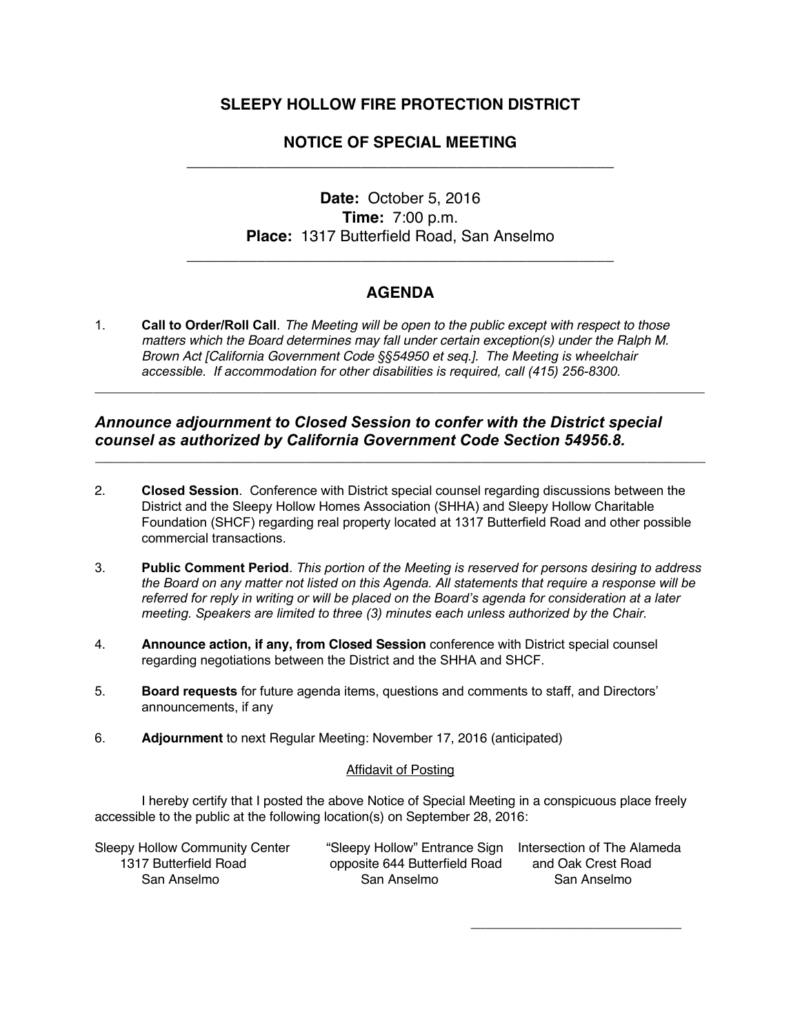## **SLEEPY HOLLOW FIRE PROTECTION DISTRICT**

# **NOTICE OF SPECIAL MEETING**  \_\_\_\_\_\_\_\_\_\_\_\_\_\_\_\_\_\_\_\_\_\_\_\_\_\_\_\_\_\_\_\_\_\_\_\_\_\_\_\_\_\_\_\_\_\_\_\_\_

# **Date:** October 5, 2016 **Time:** 7:00 p.m. **Place:** 1317 Butterfield Road, San Anselmo

## **AGENDA**

**\_\_\_\_\_\_\_\_\_\_\_\_\_\_\_\_\_\_\_\_\_\_\_\_\_\_\_\_\_\_\_\_\_\_\_\_\_\_\_\_\_\_\_\_\_\_\_\_\_\_\_\_\_\_\_\_\_\_\_\_\_\_\_\_\_\_\_\_\_\_\_\_\_\_\_\_\_\_\_\_\_\_\_\_**

**\_\_\_\_\_\_\_\_\_\_\_\_\_\_\_\_\_\_\_\_\_\_\_\_\_\_\_\_\_\_\_\_\_\_\_\_\_\_\_\_\_\_\_\_\_\_\_\_\_\_\_\_\_\_\_\_\_\_\_\_\_\_\_\_\_\_\_\_\_\_\_\_\_\_\_\_\_\_\_\_\_\_\_\_**

\_\_\_\_\_\_\_\_\_\_\_\_\_\_\_\_\_\_\_\_\_\_\_\_\_\_\_\_\_\_\_\_\_\_\_\_\_\_\_\_\_\_\_\_\_\_\_\_\_

1. **Call to Order/Roll Call**. *The Meeting will be open to the public except with respect to those matters which the Board determines may fall under certain exception(s) under the Ralph M. Brown Act [California Government Code §§54950 et seq.]. The Meeting is wheelchair accessible. If accommodation for other disabilities is required, call (415) 256-8300.*

### *Announce adjournment to Closed Session to confer with the District special counsel as authorized by California Government Code Section 54956.8.*

- 2. **Closed Session**. Conference with District special counsel regarding discussions between the District and the Sleepy Hollow Homes Association (SHHA) and Sleepy Hollow Charitable Foundation (SHCF) regarding real property located at 1317 Butterfield Road and other possible commercial transactions.
- 3. **Public Comment Period**. *This portion of the Meeting is reserved for persons desiring to address the Board on any matter not listed on this Agenda. All statements that require a response will be referred for reply in writing or will be placed on the Board's agenda for consideration at a later meeting. Speakers are limited to three (3) minutes each unless authorized by the Chair.*
- 4. **Announce action, if any, from Closed Session** conference with District special counsel regarding negotiations between the District and the SHHA and SHCF.
- 5. **Board requests** for future agenda items, questions and comments to staff, and Directors' announcements, if any
- 6. **Adjournment** to next Regular Meeting: November 17, 2016 (anticipated)

#### Affidavit of Posting

I hereby certify that I posted the above Notice of Special Meeting in a conspicuous place freely accessible to the public at the following location(s) on September 28, 2016:

| <b>Sleepy Hollow Community Center</b> | "Sleepy Hollow" Entrance Sign Intersection of The Alameda |                    |
|---------------------------------------|-----------------------------------------------------------|--------------------|
| 1317 Butterfield Road                 | opposite 644 Butterfield Road                             | and Oak Crest Road |
| San Anselmo                           | San Anselmo                                               | San Anselmo        |

\_\_\_\_\_\_\_\_\_\_\_\_\_\_\_\_\_\_\_\_\_\_\_\_\_\_\_\_\_